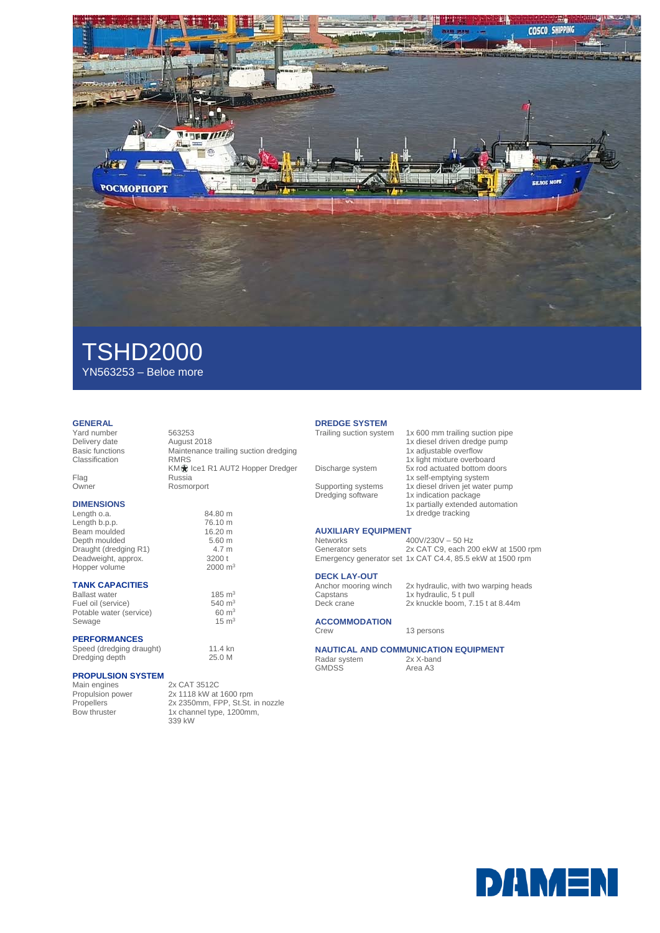

# TSHD2000 YN563253 – Beloe more

### **GENERAL**

Yard number 563253 Delivery date<br>Basic functions Classification

Flag Russia Owner Rosmorport

### **DIMENSIONS**

Length o.a. 84.80 m<br>
Length b.p.p. 76.10 m Length b.p.p.<br>Beam moulded 16.20 m Beam moulded 16.20 m<br>Depth moulded 5.60 m Depth moulded 5.60 m<br>Draught (dredging R1) 4.7 m Draught (dredging R1) 4.7 m<br>Deadweight approx 3200 t Deadweight, approx. 3200 t<br>Hopper volume 2000 m<sup>3</sup> Hopper volume

### **TANK CAPACITIES**

Ballast water  $185 \text{ m}^3$ <br>Fuel oil (service)  $540 \text{ m}^3$ Fuel oil (service)  $540 \text{ m}^3$ <br>Potable water (service)  $60 \text{ m}^3$ Potable water (service) 60 m<sup>3</sup><br>Sewage 15 m<sup>3</sup> Sewage

## **PERFORMANCES**

Speed (dredging draught) 11.4 kn<br>Dredging depth 25.0 M Dredging depth

# **PROPULSION SYSTEM**

Main engines<br>
Propulsion power<br>
2x 1118 kW at

Propulsion power 2x 1118 kW at 1600 rpm Propellers 2x 2350mm, FPP, St.St. in nozzle Bow thruster 1x channel type, 1200mm, 339 kW

Maintenance trailing suction dredging<br>RMRS

KM te1 R1 AUT2 Hopper Dredger

# **DREDGE SYSTEM**

- 1x diesel driven dredge pump 1x adjustable overflow
- 1x light mixture overboard Discharge system 5x rod actuated bottom doors

Supporting systems 1x diesel driven jet water pump Dredging software 1x indication package

# **AUXILIARY EQUIPMENT**

Networks 400V/230V – 50 Hz<br>Generator sets 2x CAT C9, each 20

**DECK LAY-OUT**<br>Anchor mooring winch

**ACCOMMODATION**

Radar system<br>GMDSS

1x partially extended automation 1x dredge tracking

1x 600 mm trailing suction pipe

1x self-emptying system

2x CAT C9, each 200 ekW at 1500 rpm Emergency generator set 1x CAT C4.4, 85.5 ekW at 1500 rpm

Anchor mooring winch 2x hydraulic, with two warping heads<br>Capstans 1x hydraulic, 5 t pull Capstans 1x hydraulic, 5 t pull<br>Deck crane 2x knuckle boom, 7.  $2x$  knuckle boom,  $7.15$  t at 8.44m

13 persons

**NAUTICAL AND COMMUNICATION EQUIPMENT**<br>Radar system 2x X-band Area A3